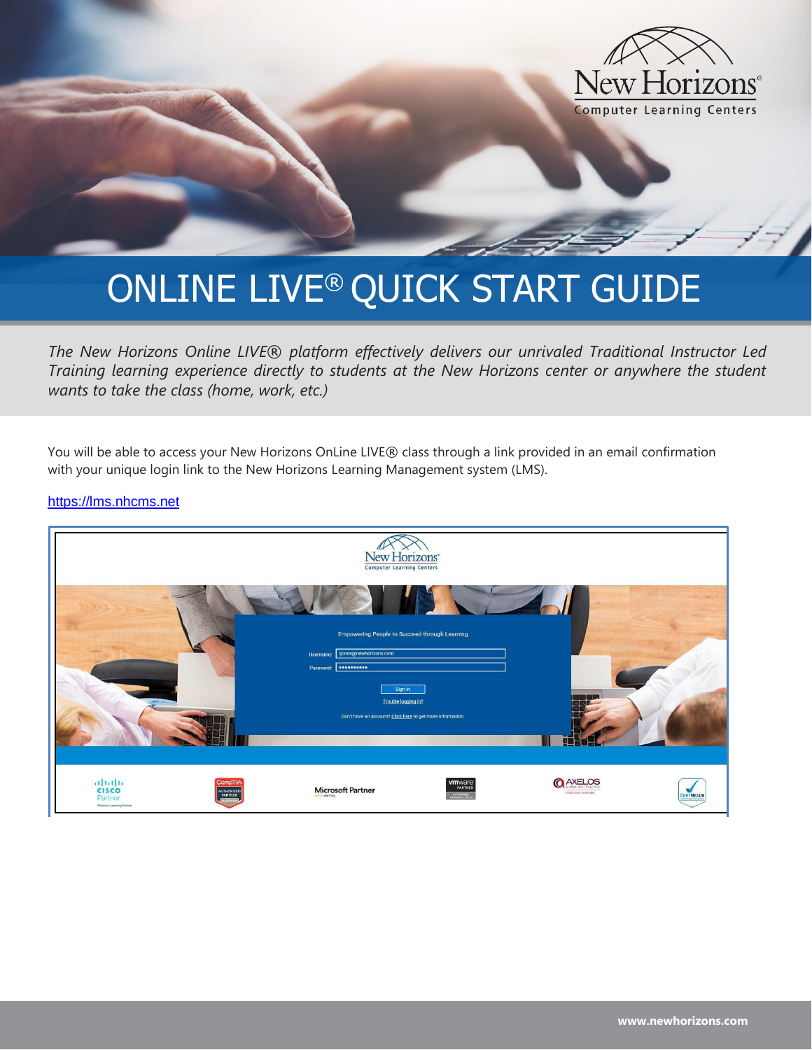

# ONLINE LIVE® QUICK START GUIDE

*The New Horizons Online LIVE*® *platform effectively delivers our unrivaled Traditional Instructor Led Training learning experience directly to students at the New Horizons center or anywhere the student wants to take the class (home, work, etc.)*

You will be able to access your New Horizons OnLine LIVE® class through a link provided in an email confirmation with your unique login link to the New Horizons Learning Management system (LMS).

[https://lms.nhcms.net](https://lms.nhcms.net/)

|                                                               |                                                | New Horizons <sup>®</sup><br><b>Computer Learning Centers</b>                                                                                                           |                                              |                                     |                       |
|---------------------------------------------------------------|------------------------------------------------|-------------------------------------------------------------------------------------------------------------------------------------------------------------------------|----------------------------------------------|-------------------------------------|-----------------------|
|                                                               | Username:<br>Password:                         | Empowering People to Succeed through Learning<br>rjones@newhorizons.com<br>Sign In<br>Trouble logging in?<br>Don't have an account? Click here to get more information. |                                              | $\mathbb{R}$<br>$\sim$              |                       |
| abah.<br><b>CISCO</b><br>Partner<br>Platinum Learning Partner | <b>CompTIA</b><br><b>AUTHORIZED</b><br>PARTNER | <b>Microsoft Partner</b>                                                                                                                                                | wmware <sup>®</sup><br>PARTNER<br>AUTHORIZED | <b>QAXELOS</b><br>STRATEGIC PARTNER | w<br><b>CERTNEXUS</b> |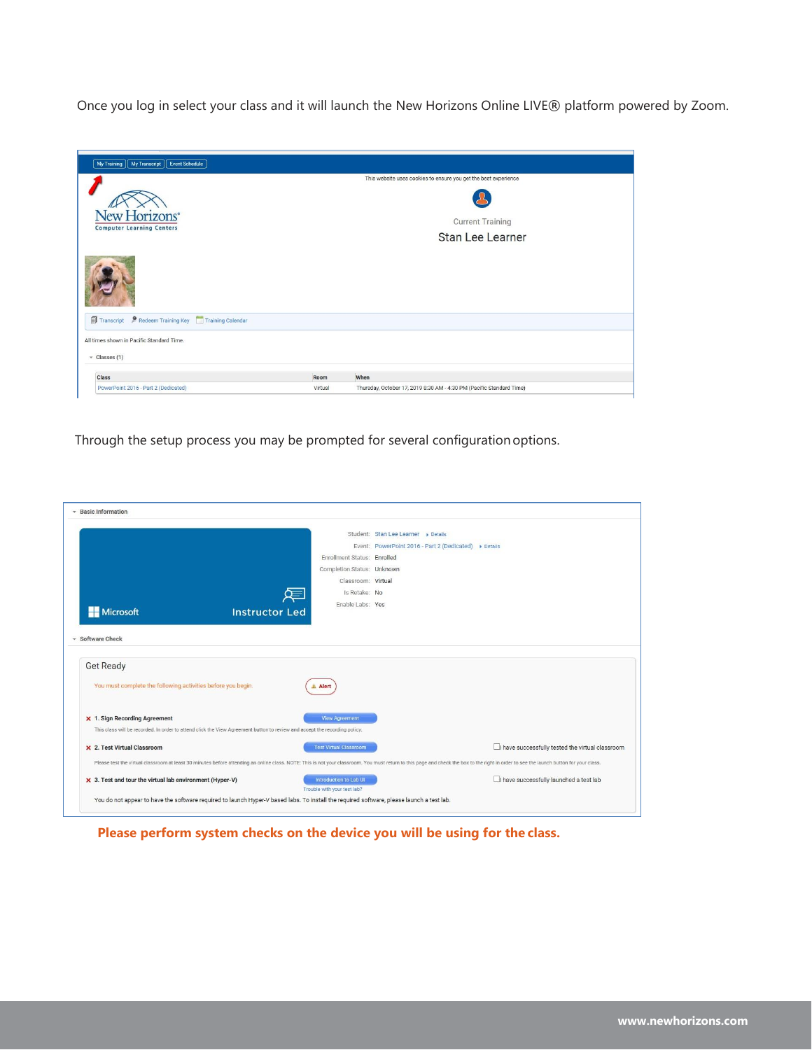Once you log in select your class and it will launch the New Horizons Online LIVE® platform powered by Zoom.

| My Training   My Transcript  <br>Event Schedule   |         |                                                                      |
|---------------------------------------------------|---------|----------------------------------------------------------------------|
|                                                   |         | This website uses cookies to ensure you get the best experience      |
| New Horizons*<br><b>Computer Learning Centers</b> |         | <b>Current Training</b><br>Stan Lee Learner                          |
|                                                   |         |                                                                      |
| Transcript PRedeem Training Key Training Calendar |         |                                                                      |
| All times shown in Pacific Standard Time.         |         |                                                                      |
| $\star$ Classes (1)                               |         |                                                                      |
| <b>Class</b>                                      | Room    | When                                                                 |
| PowerPoint 2016 - Part 2 (Dedicated)              | Virtual | Thursday, October 17, 2019 8:30 AM - 4:30 PM (Pacific Standard Time) |

Through the setup process you may be prompted for several configurationoptions.

| * Basic Information                                                                                                        |                                                       |                                                                                                                                                                                                                                |
|----------------------------------------------------------------------------------------------------------------------------|-------------------------------------------------------|--------------------------------------------------------------------------------------------------------------------------------------------------------------------------------------------------------------------------------|
|                                                                                                                            |                                                       | Student: Stan Lee Learner > Details                                                                                                                                                                                            |
|                                                                                                                            |                                                       | Event: PowerPoint 2016 - Part 2 (Dedicated) > Details                                                                                                                                                                          |
|                                                                                                                            | Enrollment Status: Enrolled                           |                                                                                                                                                                                                                                |
|                                                                                                                            | Completion Status: Unknown                            |                                                                                                                                                                                                                                |
|                                                                                                                            | Classroom: Virtual                                    |                                                                                                                                                                                                                                |
|                                                                                                                            | Is Retake: No<br>⋐                                    |                                                                                                                                                                                                                                |
| <b>Instructor Led</b>                                                                                                      | Enable Labs: Yes                                      |                                                                                                                                                                                                                                |
| <b>Microsoft</b>                                                                                                           |                                                       |                                                                                                                                                                                                                                |
|                                                                                                                            |                                                       |                                                                                                                                                                                                                                |
| <b>Get Ready</b><br>You must complete the following activities before you begin.                                           | Alert                                                 |                                                                                                                                                                                                                                |
| X 1. Sign Recording Agreement                                                                                              | <b>View Agreement</b>                                 |                                                                                                                                                                                                                                |
| This class will be recorded. In order to attend click the View Agreement button to review and accept the recording policy. |                                                       |                                                                                                                                                                                                                                |
| X 2. Test Virtual Classroom                                                                                                | <b>Test Virtual Classroom</b>                         | have successfully tested the virtual classroom                                                                                                                                                                                 |
|                                                                                                                            |                                                       | Please test the virtual classroom at least 30 minutes before attending an online class. NOTE: This is not your classroom. You must return to this page and check the box to the right in order to see the launch button for yo |
| $\times$ 3. Test and tour the virtual lab environment (Hyper-V)                                                            | Introduction to Lab UI<br>Trouble with your test lab? | have successfully launched a test lab                                                                                                                                                                                          |

**Please perform system checks on the device you will be using for the class.**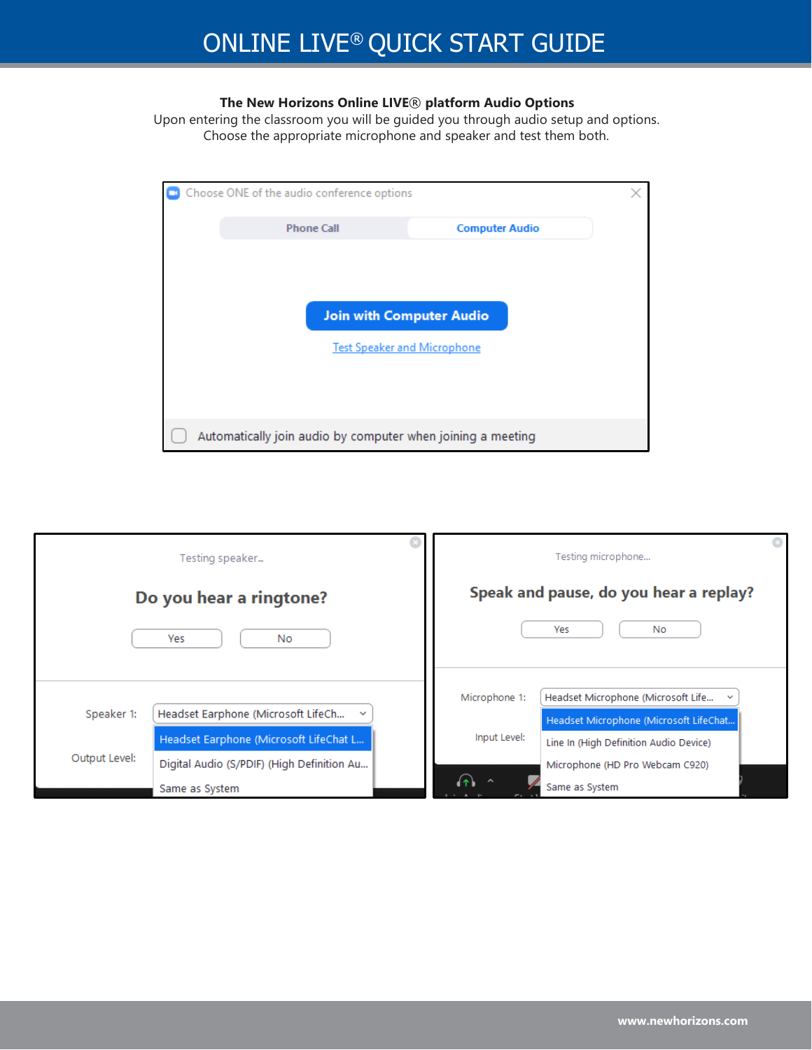### **The New Horizons Online LIVE**® **platform Audio Options**

Upon entering the classroom you will be guided you through audio setup and options. Choose the appropriate microphone and speaker and test them both.

| Choose ONE of the audio conference options                            |                       |  |
|-----------------------------------------------------------------------|-----------------------|--|
| <b>Phone Call</b>                                                     | <b>Computer Audio</b> |  |
| <b>Join with Computer Audio</b><br><b>Test Speaker and Microphone</b> |                       |  |
| Automatically join audio by computer when joining a meeting           |                       |  |

|               | Testing speaker                                    |               | Testing microphone                                 |  |
|---------------|----------------------------------------------------|---------------|----------------------------------------------------|--|
|               | Do you hear a ringtone?                            |               | Speak and pause, do you hear a replay?             |  |
|               | Yes<br>No.                                         |               | Yes<br>No                                          |  |
|               |                                                    | Microphone 1: | Headset Microphone (Microsoft Life<br>$\checkmark$ |  |
| Speaker 1:    | Headset Earphone (Microsoft LifeCh<br>$\checkmark$ |               | Headset Microphone (Microsoft LifeChat             |  |
|               | Headset Earphone (Microsoft LifeChat L             | Input Level:  | Line In (High Definition Audio Device)             |  |
| Output Level: | Digital Audio (S/PDIF) (High Definition Au         |               | Microphone (HD Pro Webcam C920)                    |  |
|               | Same as System                                     |               | Same as System                                     |  |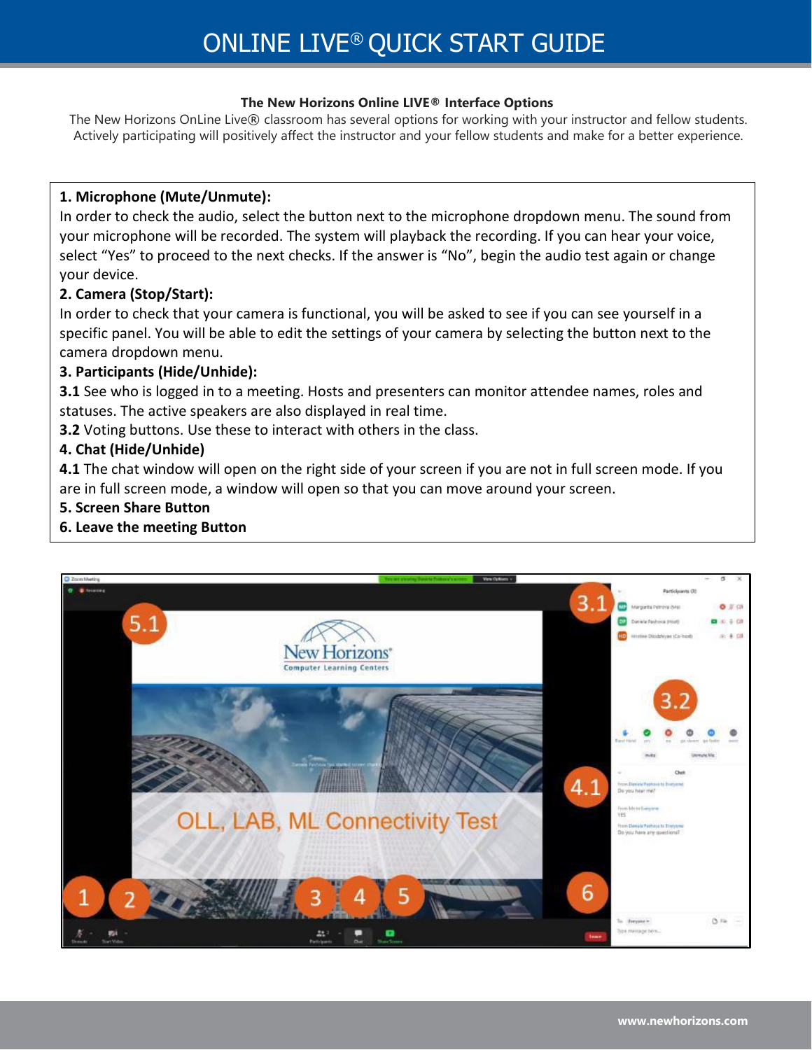### **The New Horizons Online LIVE® Interface Options**

The New Horizons OnLine Live® classroom has several options for working with your instructor and fellow students. Actively participating will positively affect the instructor and your fellow students and make for a better experience.

### **1. Microphone (Mute/Unmute):**

In order to check the audio, select the button next to the microphone dropdown menu. The sound from your microphone will be recorded. The system will playback the recording. If you can hear your voice, select "Yes" to proceed to the next checks. If the answer is "No", begin the audio test again or change your device.

### **2. Camera (Stop/Start):**

In order to check that your camera is functional, you will be asked to see if you can see yourself in a specific panel. You will be able to edit the settings of your camera by selecting the button next to the camera dropdown menu.

### **3. Participants (Hide/Unhide):**

**3.1** See who is logged in to a meeting. Hosts and presenters can monitor attendee names, roles and statuses. The active speakers are also displayed in real time.

**3.2** Voting buttons. Use these to interact with others in the class.

### **4. Chat (Hide/Unhide)**

**4.1** The chat window will open on the right side of your screen if you are not in full screen mode. If you are in full screen mode, a window will open so that you can move around your screen.

### **5. Screen Share Button**

**6. Leave the meeting Button**

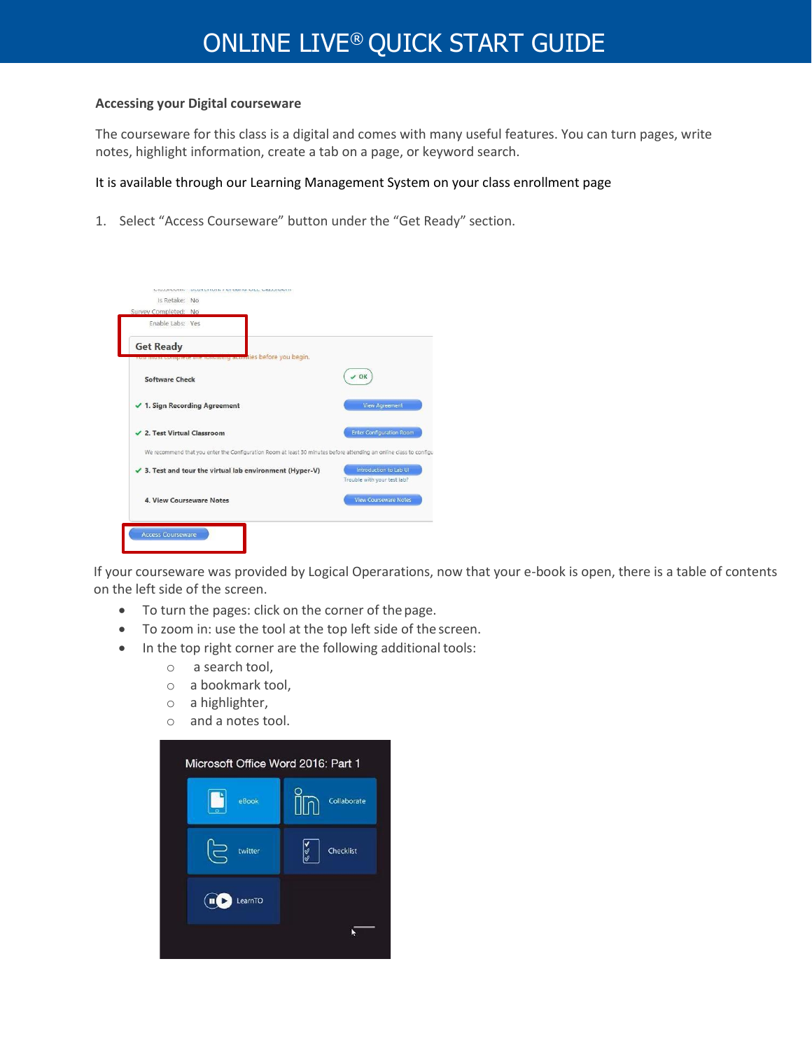# ONLINE LIVE® QUICK START GUIDE

#### **Accessing your Digital courseware**

The courseware for this class is a digital and comes with many useful features. You can turn pages, write notes, highlight information, create a tab on a page, or keyword search.

#### It is available through our Learning Management System on your class enrollment page

1. Select "Access Courseware" button under the "Get Ready" section.



If your courseware was provided by Logical Operarations, now that your e-book is open, there is a table of contents on the left side of the screen.

- To turn the pages: click on the corner of thepage.
- To zoom in: use the tool at the top left side of the screen.
- In the top right corner are the following additional tools:
	- o a search tool,
	- o a bookmark tool,
	- o a highlighter,
	- o and a notes tool.

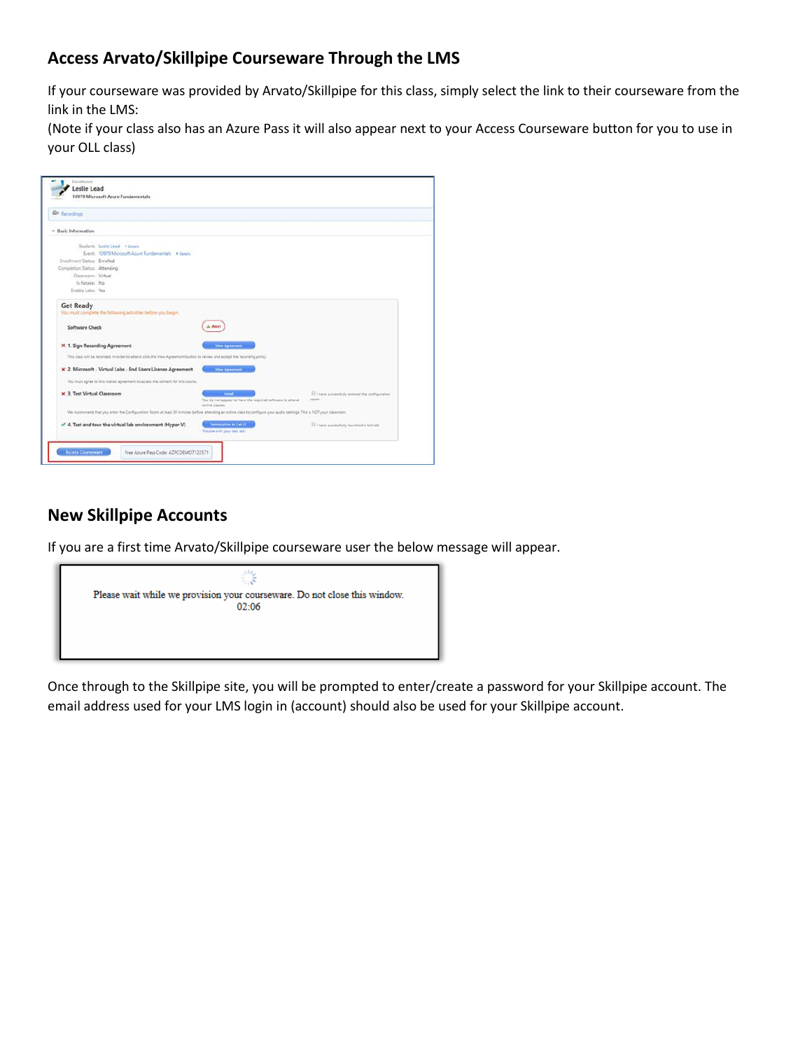# **Access Arvato/Skillpipe Courseware Through the LMS**

If your courseware was provided by Arvato/Skillpipe for this class, simply select the link to their courseware from the link in the LMS:

(Note if your class also has an Azure Pass it will also appear next to your Access Courseware button for you to use in your OLL class)

| · Basic Information          |                                                                                                                            |                                                                                                                                                                                          |                                               |
|------------------------------|----------------------------------------------------------------------------------------------------------------------------|------------------------------------------------------------------------------------------------------------------------------------------------------------------------------------------|-----------------------------------------------|
|                              | Student: Leslie Lead . Details                                                                                             |                                                                                                                                                                                          |                                               |
|                              | Event: 10979 Microsoft Azure Fundamentals # Derails                                                                        |                                                                                                                                                                                          |                                               |
| Enrolment Status: Enrolled   |                                                                                                                            |                                                                                                                                                                                          |                                               |
| Completion Status: Attending |                                                                                                                            |                                                                                                                                                                                          |                                               |
| Classroom: Virtual           |                                                                                                                            |                                                                                                                                                                                          |                                               |
| Is Retake: No                |                                                                                                                            |                                                                                                                                                                                          |                                               |
| Enable Labo: Yes             |                                                                                                                            |                                                                                                                                                                                          |                                               |
| <b>Get Ready</b>             |                                                                                                                            |                                                                                                                                                                                          |                                               |
|                              | You must complete the following activities before you begin.                                                               |                                                                                                                                                                                          |                                               |
|                              |                                                                                                                            |                                                                                                                                                                                          |                                               |
| Software Check               |                                                                                                                            | Alert                                                                                                                                                                                    |                                               |
|                              |                                                                                                                            |                                                                                                                                                                                          |                                               |
|                              | X 1. Sign Recording Agreement                                                                                              | View Agreement                                                                                                                                                                           |                                               |
|                              | This class will be recorded, in order to attend click the View Agreement button to review and accept the recording policy. |                                                                                                                                                                                          |                                               |
|                              |                                                                                                                            |                                                                                                                                                                                          |                                               |
|                              | x 2. Microsoft - Virtual Labs - End Users License Agreement                                                                | View Agreement                                                                                                                                                                           |                                               |
|                              | You must agree to this Scene agreement to access the content for this course.                                              |                                                                                                                                                                                          |                                               |
|                              |                                                                                                                            |                                                                                                                                                                                          |                                               |
| × 3. Test Virtual Classroom  |                                                                                                                            | <b>Votal</b>                                                                                                                                                                             | 1 have successfully entered the configuration |
|                              |                                                                                                                            | You do not appear to have the required software to attend.                                                                                                                               | room                                          |
|                              |                                                                                                                            | online classes.<br>We recommend that you enter the Configuration Room at least 30 minutes before attending an online class to configure your audio settings. This is NDT your classroom. |                                               |
|                              |                                                                                                                            |                                                                                                                                                                                          |                                               |
|                              | $\checkmark$ 4. Test and tour the virtual lab environment (Hyper-V)                                                        | Introduction to Lab UI                                                                                                                                                                   | IT I have successfully launched a test lab-   |

## **New Skillpipe Accounts**

If you are a first time Arvato/Skillpipe courseware user the below message will appear.



Once through to the Skillpipe site, you will be prompted to enter/create a password for your Skillpipe account. The email address used for your LMS login in (account) should also be used for your Skillpipe account.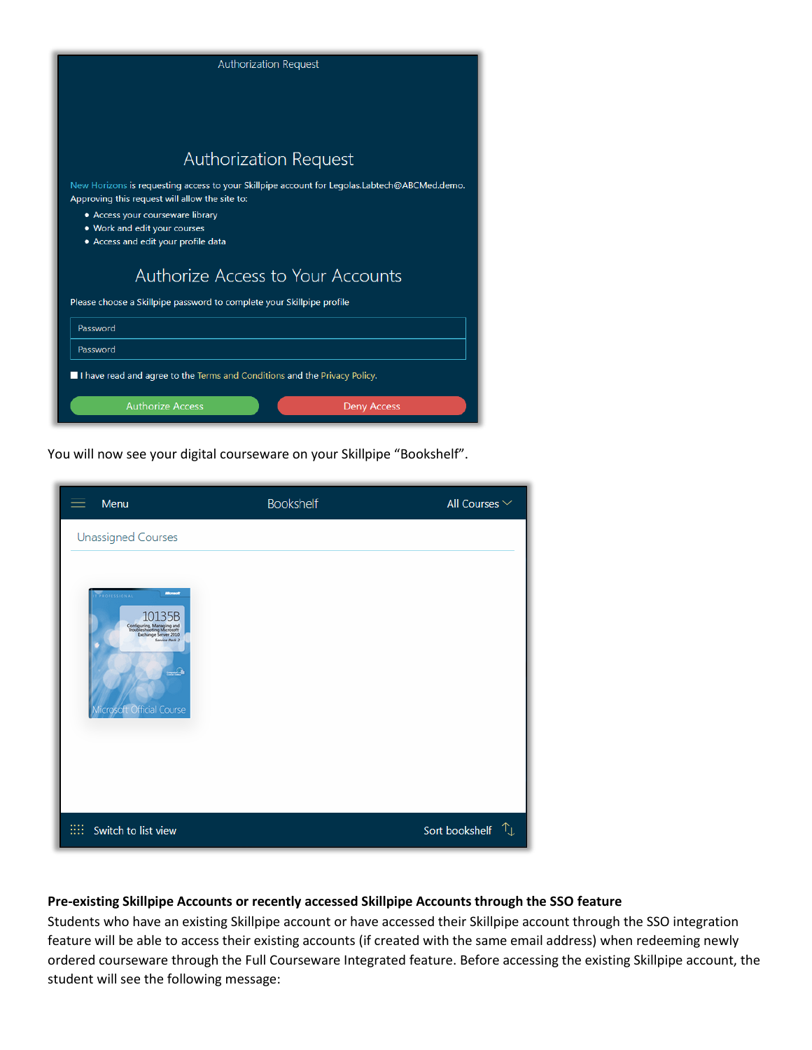| <b>Authorization Request</b>                                                                                                                   |
|------------------------------------------------------------------------------------------------------------------------------------------------|
|                                                                                                                                                |
|                                                                                                                                                |
|                                                                                                                                                |
|                                                                                                                                                |
| <b>Authorization Request</b>                                                                                                                   |
| New Horizons is requesting access to your Skillpipe account for Legolas.Labtech@ABCMed.demo.<br>Approving this request will allow the site to: |
| • Access your courseware library                                                                                                               |
| . Work and edit your courses<br>• Access and edit your profile data                                                                            |
|                                                                                                                                                |
| Authorize Access to Your Accounts                                                                                                              |
| Please choose a Skillpipe password to complete your Skillpipe profile                                                                          |
| Password                                                                                                                                       |
| Password                                                                                                                                       |
| I have read and agree to the Terms and Conditions and the Privacy Policy.                                                                      |
| <b>Authorize Access</b><br><b>Deny Access</b>                                                                                                  |

You will now see your digital courseware on your Skillpipe "Bookshelf".

| Menu                                                                                                                                                                               | <b>Bookshelf</b> | All Courses $\vee$        |
|------------------------------------------------------------------------------------------------------------------------------------------------------------------------------------|------------------|---------------------------|
| <b>Unassigned Courses</b>                                                                                                                                                          |                  |                           |
| <b>Mirrowoff</b><br>PROFESSIONAL<br>Configuring, Managing and<br>Troubleshooting Microsoft<br>Exchange Server 2010<br>Service Pack 2<br>$\rightarrow$<br>Microsoft Official Course |                  |                           |
| Switch to list view<br>ш                                                                                                                                                           |                  | Sort bookshelf $\uparrow$ |

### **Pre-existing Skillpipe Accounts or recently accessed Skillpipe Accounts through the SSO feature**

Students who have an existing Skillpipe account or have accessed their Skillpipe account through the SSO integration feature will be able to access their existing accounts (if created with the same email address) when redeeming newly ordered courseware through the Full Courseware Integrated feature. Before accessing the existing Skillpipe account, the student will see the following message: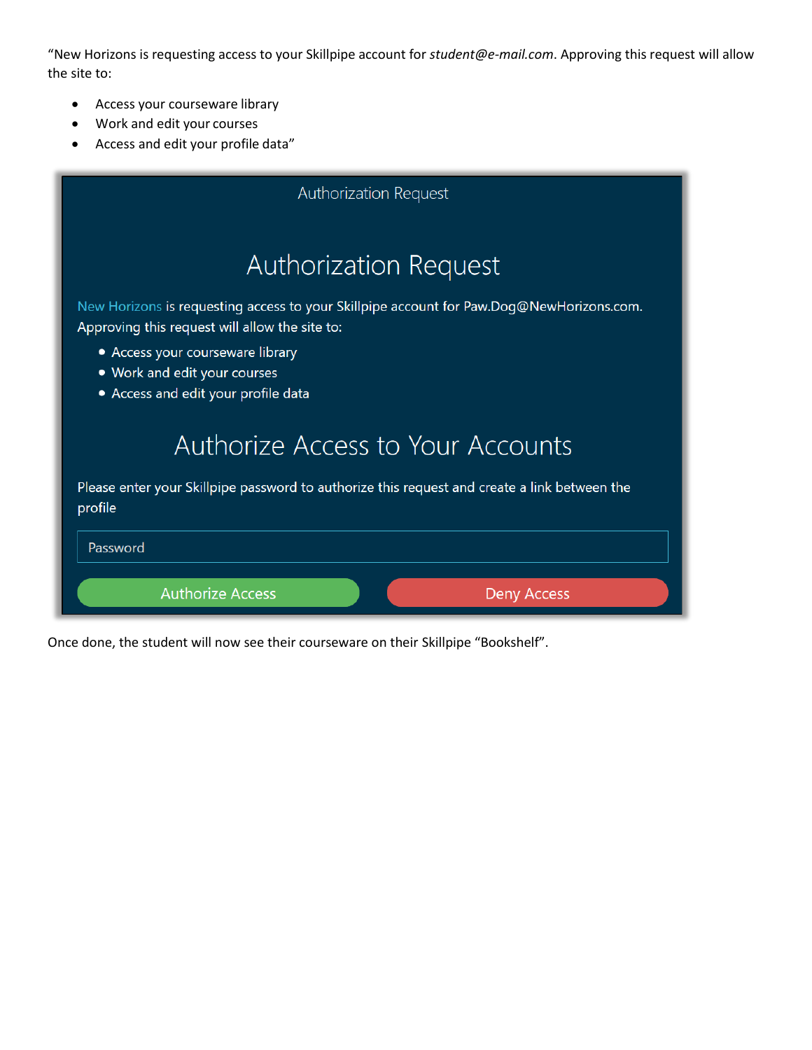"New Horizons is requesting access to your Skillpipe account for *[student@e-mail.com](mailto:student@e-mail.com)*. Approving this request will allow the site to:

- Access your courseware library
- Work and edit your courses
- Access and edit your profile data"

| <b>Authorization Request</b>                                                                                                               |  |  |
|--------------------------------------------------------------------------------------------------------------------------------------------|--|--|
| <b>Authorization Request</b>                                                                                                               |  |  |
| New Horizons is requesting access to your Skillpipe account for Paw.Dog@NewHorizons.com.<br>Approving this request will allow the site to: |  |  |
| • Access your courseware library<br>• Work and edit your courses<br>• Access and edit your profile data                                    |  |  |
| Authorize Access to Your Accounts                                                                                                          |  |  |
| Please enter your Skillpipe password to authorize this request and create a link between the<br>profile                                    |  |  |
| Password                                                                                                                                   |  |  |
| <b>Authorize Access</b><br><b>Deny Access</b>                                                                                              |  |  |

Once done, the student will now see their courseware on their Skillpipe "Bookshelf".